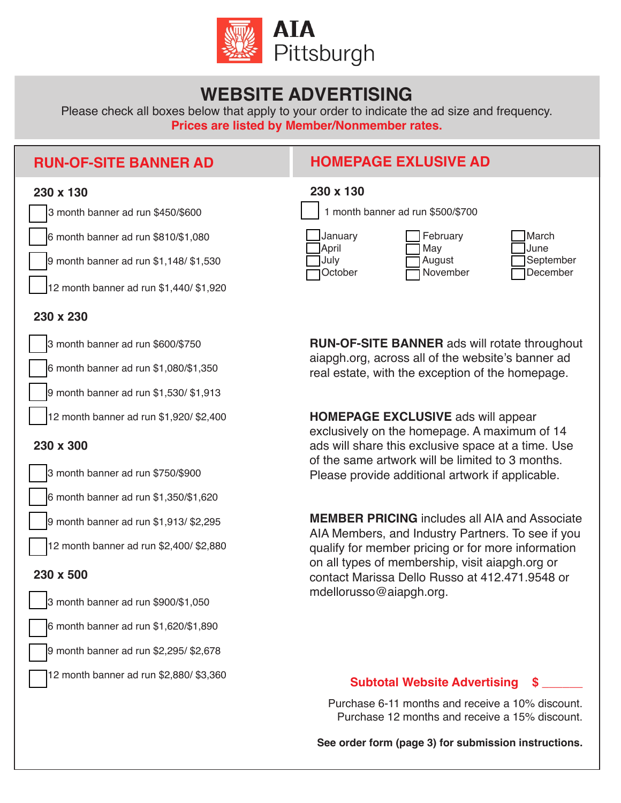

## **WEBSITE ADVERTISING**

Please check all boxes below that apply to your order to indicate the ad size and frequency. **Prices are listed by Member/Nonmember rates.**

## **RUN-OF-SITE BANNER AD**

## **HOMEPAGE EXLUSIVE AD**



| 230 x 130                                  |                                       |                                        |
|--------------------------------------------|---------------------------------------|----------------------------------------|
|                                            | 1 month banner ad run \$500/\$700     |                                        |
| January<br><b>April</b><br>July<br>October | February<br>May<br>August<br>November | March<br>June<br>September<br>December |

**RUN-OF-SITE BANNER** ads will rotate throughout aiapgh.org, across all of the website's banner ad real estate, with the exception of the homepage.

**HOMEPAGE EXCLUSIVE** ads will appear exclusively on the homepage. A maximum of 14 ads will share this exclusive space at a time. Use of the same artwork will be limited to 3 months. Please provide additional artwork if applicable.

**MEMBER PRICING** includes all AIA and Associate AIA Members, and Industry Partners. To see if you qualify for member pricing or for more information on all types of membership, visit aiapgh.org or contact Marissa Dello Russo at 412.471.9548 or mdellorusso@aiapgh.org.

### **Subtotal Website Advertising \$ \_\_\_\_\_\_**

Purchase 6-11 months and receive a 10% discount. Purchase 12 months and receive a 15% discount.

**See order form (page 3) for submission instructions.**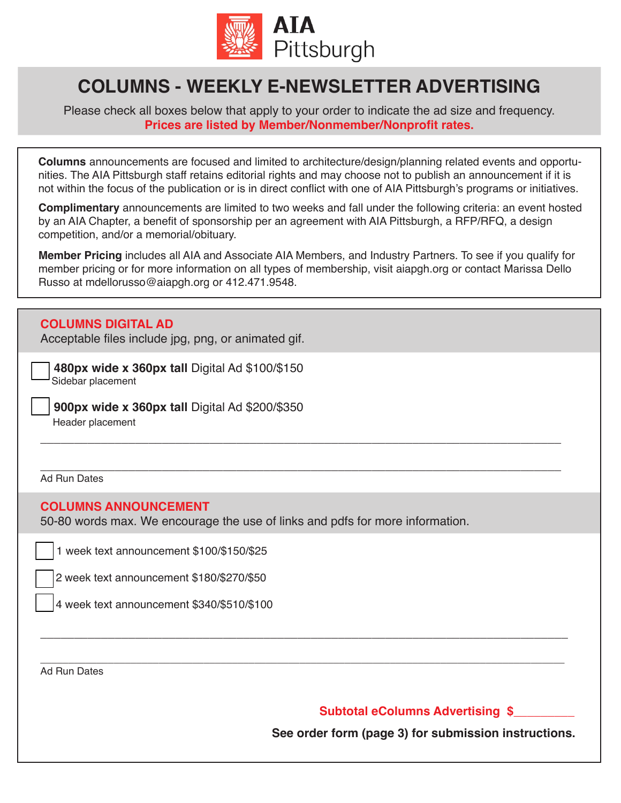

# **COLUMNS - WEEKLY E-NEWSLETTER ADVERTISING**

Please check all boxes below that apply to your order to indicate the ad size and frequency. **Prices are listed by Member/Nonmember/Nonprofit rates.**

**Columns** announcements are focused and limited to architecture/design/planning related events and opportunities. The AIA Pittsburgh staff retains editorial rights and may choose not to publish an announcement if it is not within the focus of the publication or is in direct conflict with one of AIA Pittsburgh's programs or initiatives.

**Complimentary** announcements are limited to two weeks and fall under the following criteria: an event hosted by an AIA Chapter, a benefit of sponsorship per an agreement with AIA Pittsburgh, a RFP/RFQ, a design competition, and/or a memorial/obituary.

**Member Pricing** includes all AIA and Associate AIA Members, and Industry Partners. To see if you qualify for member pricing or for more information on all types of membership, visit aiapgh.org or contact Marissa Dello Russo at mdellorusso@aiapgh.org or 412.471.9548.

\_\_\_\_\_\_\_\_\_\_\_\_\_\_\_\_\_\_\_\_\_\_\_\_\_\_\_\_\_\_\_\_\_\_\_\_\_\_\_\_\_\_\_\_\_\_\_\_\_\_\_\_\_\_\_\_\_\_\_\_\_\_\_\_\_\_\_\_\_\_\_\_\_\_\_\_\_

\_\_\_\_\_\_\_\_\_\_\_\_\_\_\_\_\_\_\_\_\_\_\_\_\_\_\_\_\_\_\_\_\_\_\_\_\_\_\_\_\_\_\_\_\_\_\_\_\_\_\_\_\_\_\_\_\_\_\_\_\_\_\_\_\_\_\_\_\_\_\_\_\_\_\_\_\_\_

\_\_\_\_\_\_\_\_\_\_\_\_\_\_\_\_\_\_\_\_\_\_\_\_\_\_\_\_\_\_\_\_\_\_\_\_\_\_\_\_\_\_\_\_\_\_\_\_\_\_\_\_\_\_\_\_\_\_\_\_\_\_\_\_\_\_\_\_\_\_\_\_\_\_\_\_\_\_\_\_\_\_\_\_\_\_\_\_\_\_\_\_\_

#### **COLUMNS DIGITAL AD**

Acceptable files include jpg, png, or animated gif.

 **480px wide x 360px tall** Digital Ad \$100/\$150 Sidebar placement

 **900px wide x 360px tall** Digital Ad \$200/\$350 Header placement

\_\_\_\_\_\_\_\_\_\_\_\_\_\_\_\_\_\_\_\_\_\_\_\_\_\_\_\_\_\_\_\_\_\_\_\_\_\_\_\_\_\_\_\_\_\_\_\_\_\_\_\_\_\_\_\_\_\_\_\_\_\_\_\_\_\_\_\_\_\_\_\_\_\_\_\_\_ Ad Run Dates

#### **COLUMNS ANNOUNCEMENT**

50-80 words max. We encourage the use of links and pdfs for more information.

1 week text announcement \$100/\$150/\$25

2 week text announcement \$180/\$270/\$50

4 week text announcement \$340/\$510/\$100

Ad Run Dates

**Subtotal eColumns Advertising \$\_\_\_\_\_\_\_\_\_**

**See order form (page 3) for submission instructions.**